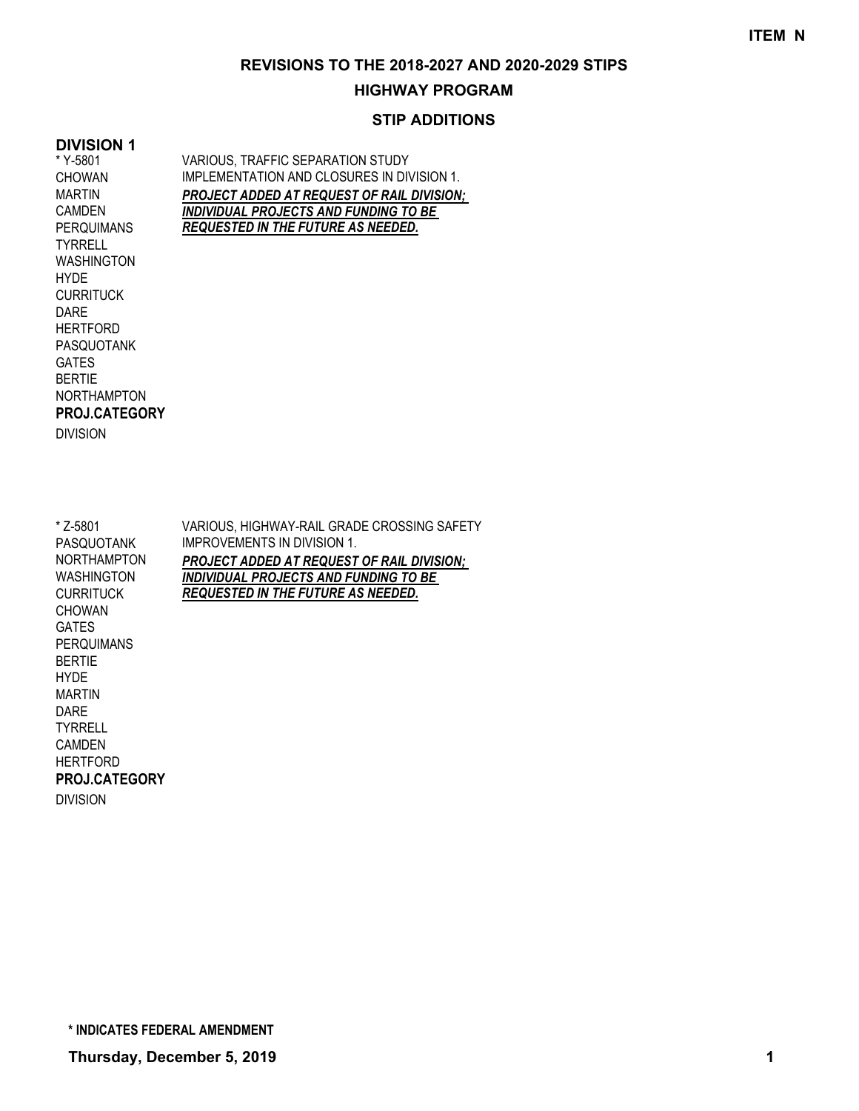#### **HIGHWAY PROGRAM**

#### **STIP ADDITIONS**

#### **DIVISION 1**

\* Y-5801 CHOWAN MARTIN CAMDEN PERQUIMANS **TYRRELL** WASHINGTON **HYDE CURRITUCK** DARE **HERTFORD** PASQUOTANK GATES BERTIE NORTHAMPTON DIVISION **PROJ.CATEGORY** VARIOUS, TRAFFIC SEPARATION STUDY IMPLEMENTATION AND CLOSURES IN DIVISION 1. *PROJECT ADDED AT REQUEST OF RAIL DIVISION; INDIVIDUAL PROJECTS AND FUNDING TO BE REQUESTED IN THE FUTURE AS NEEDED.*

\* Z-5801 PASQUOTANK NORTHAMPTON WASHINGTON **CURRITUCK** CHOWAN GATES PERQUIMANS BERTIE **HYDE** MARTIN DARE TYRRELL CAMDEN **HERTFORD** DIVISION **PROJ.CATEGORY** VARIOUS, HIGHWAY-RAIL GRADE CROSSING SAFETY IMPROVEMENTS IN DIVISION 1. *PROJECT ADDED AT REQUEST OF RAIL DIVISION; INDIVIDUAL PROJECTS AND FUNDING TO BE REQUESTED IN THE FUTURE AS NEEDED.*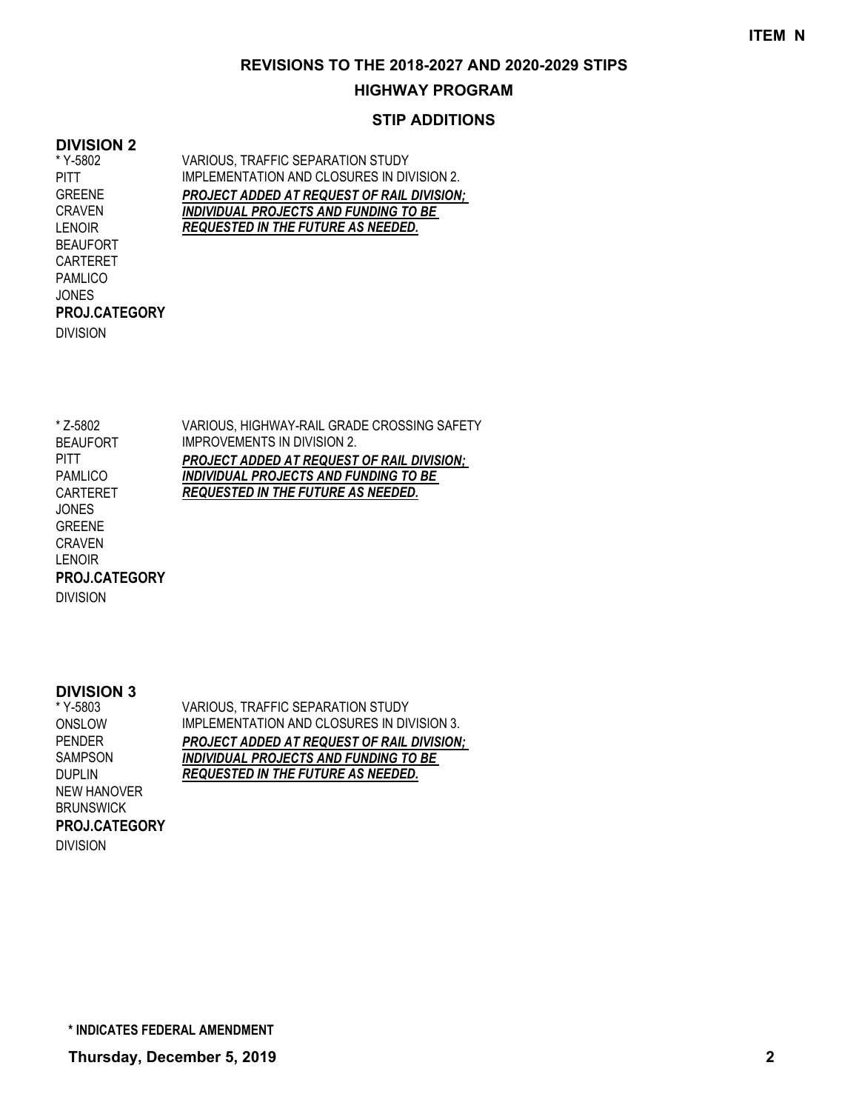## **HIGHWAY PROGRAM**

## **STIP ADDITIONS**

#### **DIVISION 2**

\* Y-5802 PITT GREENE CRAVEN LENOIR BEAUFORT CARTERET PAMLICO JONES DIVISION **PROJ.CATEGORY** VARIOUS, TRAFFIC SEPARATION STUDY IMPLEMENTATION AND CLOSURES IN DIVISION 2. *PROJECT ADDED AT REQUEST OF RAIL DIVISION; INDIVIDUAL PROJECTS AND FUNDING TO BE REQUESTED IN THE FUTURE AS NEEDED.*

VARIOUS, HIGHWAY-RAIL GRADE CROSSING SAFETY IMPROVEMENTS IN DIVISION 2. *PROJECT ADDED AT REQUEST OF RAIL DIVISION; INDIVIDUAL PROJECTS AND FUNDING TO BE REQUESTED IN THE FUTURE AS NEEDED.* \* Z-5802 BEAUFORT **PITT** PAMLICO CARTERET JONES GREENE CRAVEN LENOIR **PROJ.CATEGORY**

#### **DIVISION 3**

DIVISION

VARIOUS, TRAFFIC SEPARATION STUDY IMPLEMENTATION AND CLOSURES IN DIVISION 3. *PROJECT ADDED AT REQUEST OF RAIL DIVISION; INDIVIDUAL PROJECTS AND FUNDING TO BE REQUESTED IN THE FUTURE AS NEEDED.* \* Y-5803 ONSLOW PENDER SAMPSON DUPLIN NEW HANOVER **BRUNSWICK** DIVISION **PROJ.CATEGORY**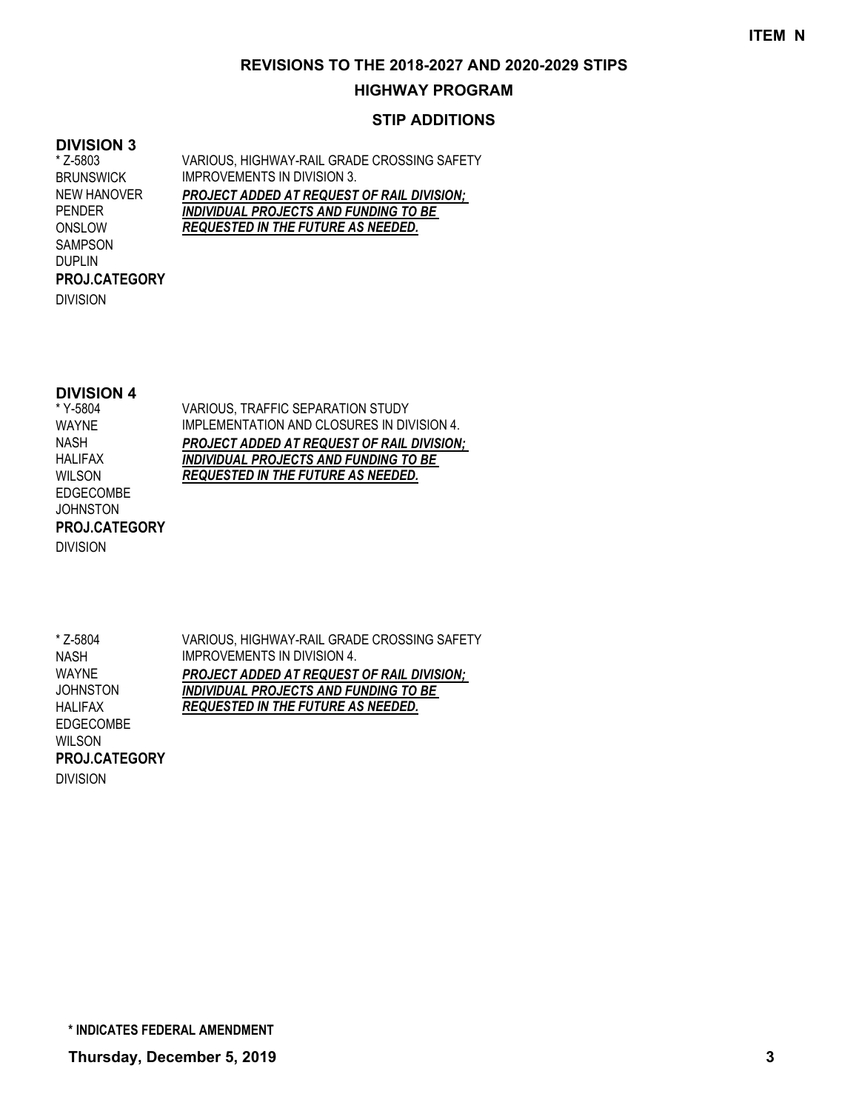## **HIGHWAY PROGRAM**

## **STIP ADDITIONS**

#### **DIVISION 3**

VARIOUS, HIGHWAY-RAIL GRADE CROSSING SAFETY IMPROVEMENTS IN DIVISION 3. *PROJECT ADDED AT REQUEST OF RAIL DIVISION; INDIVIDUAL PROJECTS AND FUNDING TO BE REQUESTED IN THE FUTURE AS NEEDED.* \* Z-5803 **BRUNSWICK** NEW HANOVER PENDER ONSLOW SAMPSON DUPLIN

DIVISION

**PROJ.CATEGORY**

## **DIVISION 4**

\* Y-5804 WAYNE NASH HALIFAX WILSON EDGECOMBE JOHNSTON DIVISION **PROJ.CATEGORY** VARIOUS, TRAFFIC SEPARATION STUDY IMPLEMENTATION AND CLOSURES IN DIVISION 4. *PROJECT ADDED AT REQUEST OF RAIL DIVISION; INDIVIDUAL PROJECTS AND FUNDING TO BE REQUESTED IN THE FUTURE AS NEEDED.*

\* Z-5804 NASH WAYNE **JOHNSTON** HALIFAX EDGECOMBE **PROJ.CATEGORY**

VARIOUS, HIGHWAY-RAIL GRADE CROSSING SAFETY IMPROVEMENTS IN DIVISION 4. *PROJECT ADDED AT REQUEST OF RAIL DIVISION; INDIVIDUAL PROJECTS AND FUNDING TO BE REQUESTED IN THE FUTURE AS NEEDED.*

WILSON DIVISION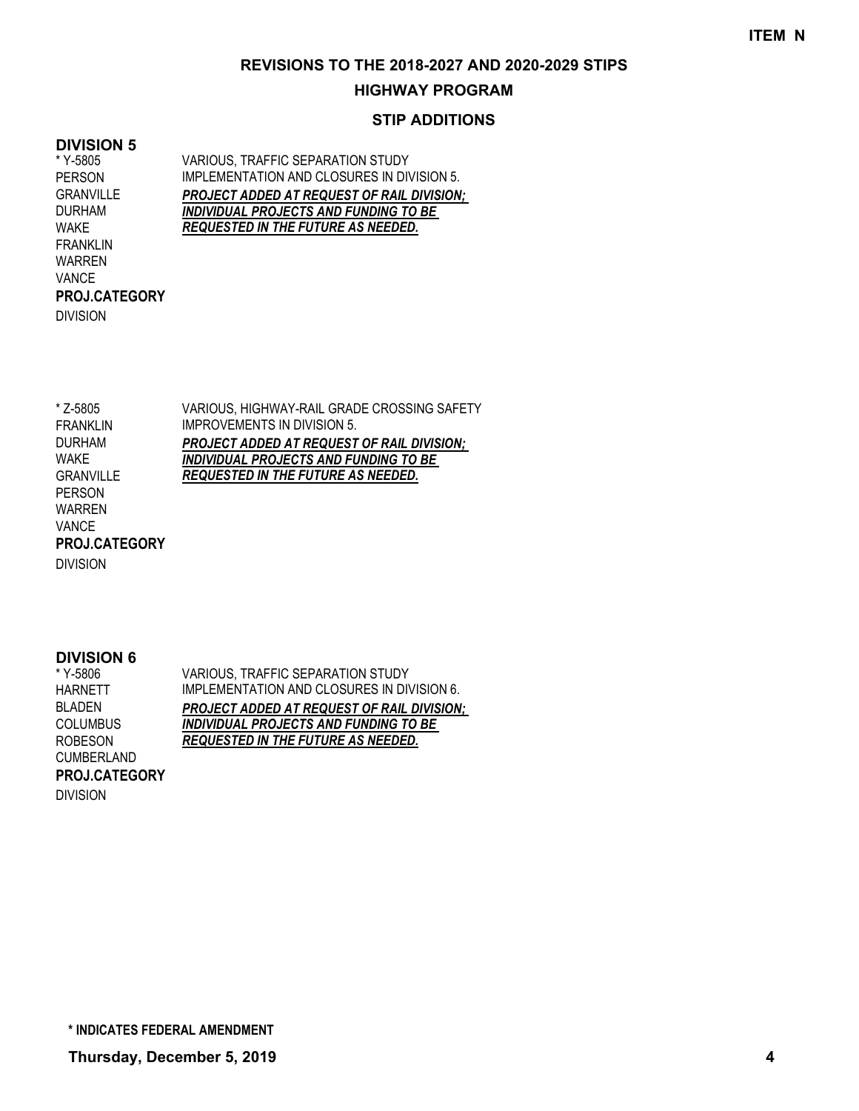## **HIGHWAY PROGRAM**

## **STIP ADDITIONS**

## **DIVISION 5**

\* Y-5805 PERSON GRANVILLE DURHAM WAKE FRANKLIN WARREN VANCE DIVISION **PROJ.CATEGORY** VARIOUS, TRAFFIC SEPARATION STUDY IMPLEMENTATION AND CLOSURES IN DIVISION 5. *PROJECT ADDED AT REQUEST OF RAIL DIVISION; INDIVIDUAL PROJECTS AND FUNDING TO BE REQUESTED IN THE FUTURE AS NEEDED.*

VARIOUS, HIGHWAY-RAIL GRADE CROSSING SAFETY IMPROVEMENTS IN DIVISION 5. *PROJECT ADDED AT REQUEST OF RAIL DIVISION; INDIVIDUAL PROJECTS AND FUNDING TO BE REQUESTED IN THE FUTURE AS NEEDED.* \* Z-5805 FRANKLIN DURHAM WAKE GRANVILLE PERSON WARREN VANCE **PROJ.CATEGORY**

DIVISION

## **DIVISION 6**

| VARIOUS, TRAFFIC SEPARATION STUDY                 |
|---------------------------------------------------|
| IMPLEMENTATION AND CLOSURES IN DIVISION 6.        |
| <b>PROJECT ADDED AT REQUEST OF RAIL DIVISION:</b> |
| <b>INDIVIDUAL PROJECTS AND FUNDING TO BE</b>      |
| <b>REQUESTED IN THE FUTURE AS NEEDED.</b>         |
|                                                   |
|                                                   |
|                                                   |

DIVISION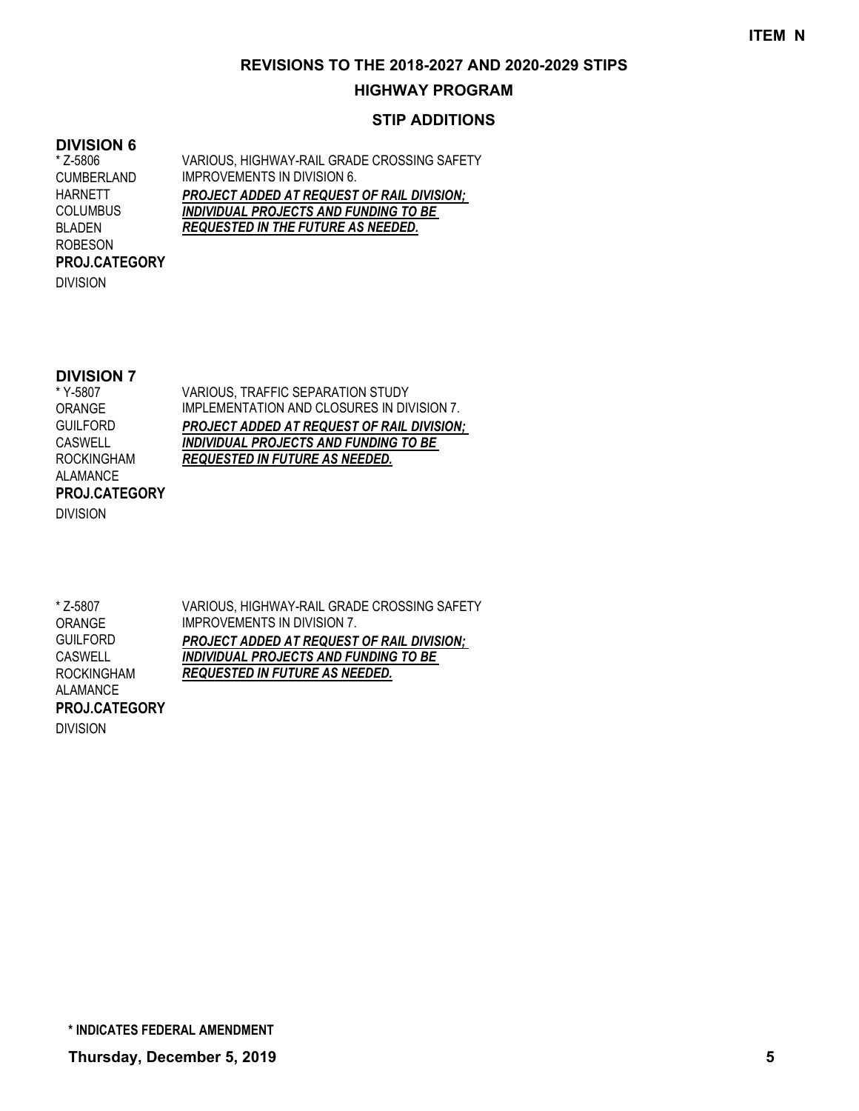## **HIGHWAY PROGRAM**

## **STIP ADDITIONS**

#### **DIVISION 6**

VARIOUS, HIGHWAY-RAIL GRADE CROSSING SAFETY IMPROVEMENTS IN DIVISION 6. *PROJECT ADDED AT REQUEST OF RAIL DIVISION; INDIVIDUAL PROJECTS AND FUNDING TO BE REQUESTED IN THE FUTURE AS NEEDED.* \* Z-5806 CUMBERLAND HARNETT COLUMBUS BLADEN ROBESON **PROJ.CATEGORY**

DIVISION

## **DIVISION 7**

\* Y-5807 ORANGE **GUILFORD CASWELL** ROCKINGHAM ALAMANCE DIVISION **PROJ.CATEGORY** VARIOUS, TRAFFIC SEPARATION STUDY IMPLEMENTATION AND CLOSURES IN DIVISION 7. *PROJECT ADDED AT REQUEST OF RAIL DIVISION; INDIVIDUAL PROJECTS AND FUNDING TO BE REQUESTED IN FUTURE AS NEEDED.*

VARIOUS, HIGHWAY-RAIL GRADE CROSSING SAFETY IMPROVEMENTS IN DIVISION 7. *PROJECT ADDED AT REQUEST OF RAIL DIVISION; INDIVIDUAL PROJECTS AND FUNDING TO BE REQUESTED IN FUTURE AS NEEDED.* \* Z-5807 ORANGE GUILFORD **CASWELL** ROCKINGHAM ALAMANCE **PROJ.CATEGORY**

DIVISION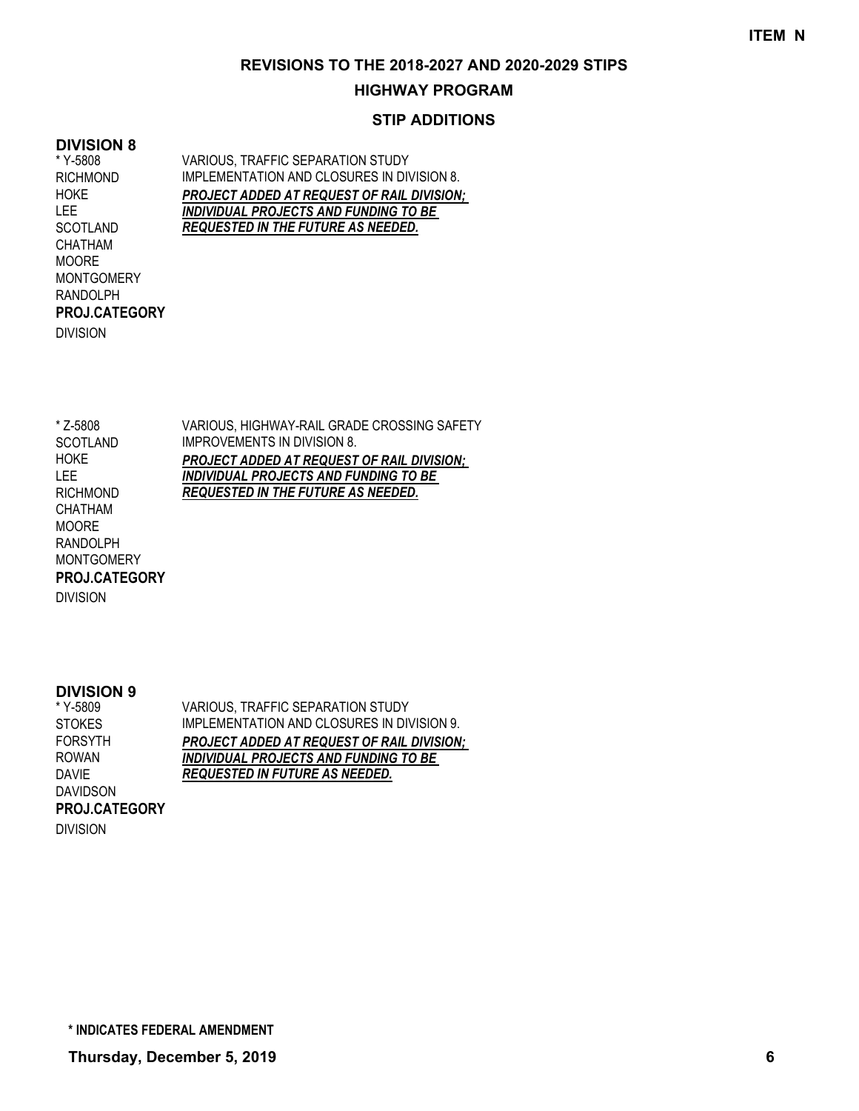## **HIGHWAY PROGRAM**

## **STIP ADDITIONS**

#### **DIVISION 8**

\* Y-5808 RICHMOND HOKE LEE **SCOTLAND** CHATHAM MOORE MONTGOMERY RANDOLPH DIVISION **PROJ.CATEGORY** VARIOUS, TRAFFIC SEPARATION STUDY IMPLEMENTATION AND CLOSURES IN DIVISION 8. *PROJECT ADDED AT REQUEST OF RAIL DIVISION; INDIVIDUAL PROJECTS AND FUNDING TO BE REQUESTED IN THE FUTURE AS NEEDED.*

VARIOUS, HIGHWAY-RAIL GRADE CROSSING SAFETY IMPROVEMENTS IN DIVISION 8. *PROJECT ADDED AT REQUEST OF RAIL DIVISION; INDIVIDUAL PROJECTS AND FUNDING TO BE REQUESTED IN THE FUTURE AS NEEDED.* \* Z-5808 **SCOTLAND HOKE** LEE RICHMOND CHATHAM MOORE RANDOLPH **MONTGOMERY PROJ.CATEGORY**

DIVISION

#### **DIVISION 9**

VARIOUS, TRAFFIC SEPARATION STUDY IMPLEMENTATION AND CLOSURES IN DIVISION 9. *PROJECT ADDED AT REQUEST OF RAIL DIVISION; INDIVIDUAL PROJECTS AND FUNDING TO BE REQUESTED IN FUTURE AS NEEDED.* \* Y-5809 **STOKES** FORSYTH ROWAN DAVIE DAVIDSON DIVISION **PROJ.CATEGORY**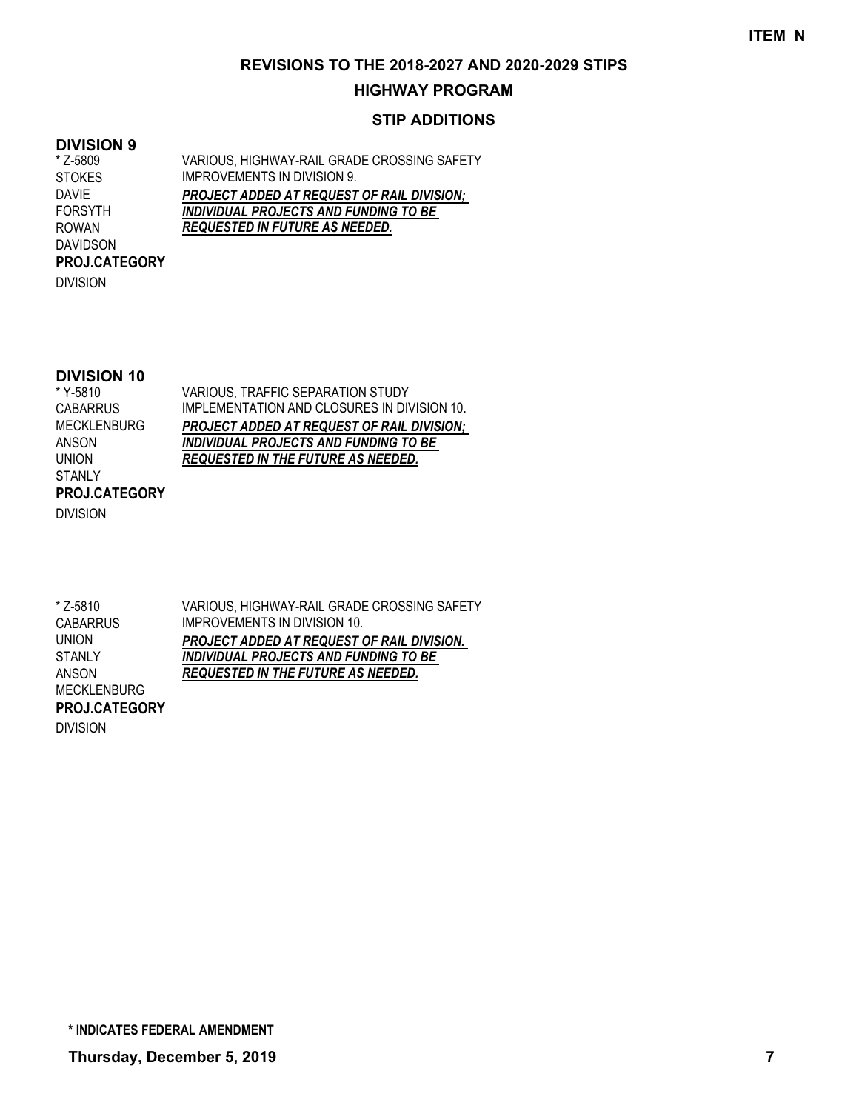## **HIGHWAY PROGRAM**

## **STIP ADDITIONS**

#### **DIVISION 9**

VARIOUS, HIGHWAY-RAIL GRADE CROSSING SAFETY IMPROVEMENTS IN DIVISION 9. *PROJECT ADDED AT REQUEST OF RAIL DIVISION; INDIVIDUAL PROJECTS AND FUNDING TO BE REQUESTED IN FUTURE AS NEEDED.* \* Z-5809 **STOKES** DAVIE FORSYTH ROWAN DAVIDSON **PROJ.CATEGORY**

DIVISION

## **DIVISION 10**

\* Y-5810 **CABARRUS** MECKLENBURG ANSON UNION **STANLY** DIVISION **PROJ.CATEGORY**

VARIOUS, TRAFFIC SEPARATION STUDY IMPLEMENTATION AND CLOSURES IN DIVISION 10. *PROJECT ADDED AT REQUEST OF RAIL DIVISION; INDIVIDUAL PROJECTS AND FUNDING TO BE REQUESTED IN THE FUTURE AS NEEDED.*

VARIOUS, HIGHWAY-RAIL GRADE CROSSING SAFETY IMPROVEMENTS IN DIVISION 10. *PROJECT ADDED AT REQUEST OF RAIL DIVISION. INDIVIDUAL PROJECTS AND FUNDING TO BE REQUESTED IN THE FUTURE AS NEEDED.* \* Z-5810 **CABARRUS** UNION **STANLY** ANSON MECKLENBURG **PROJ.CATEGORY**

DIVISION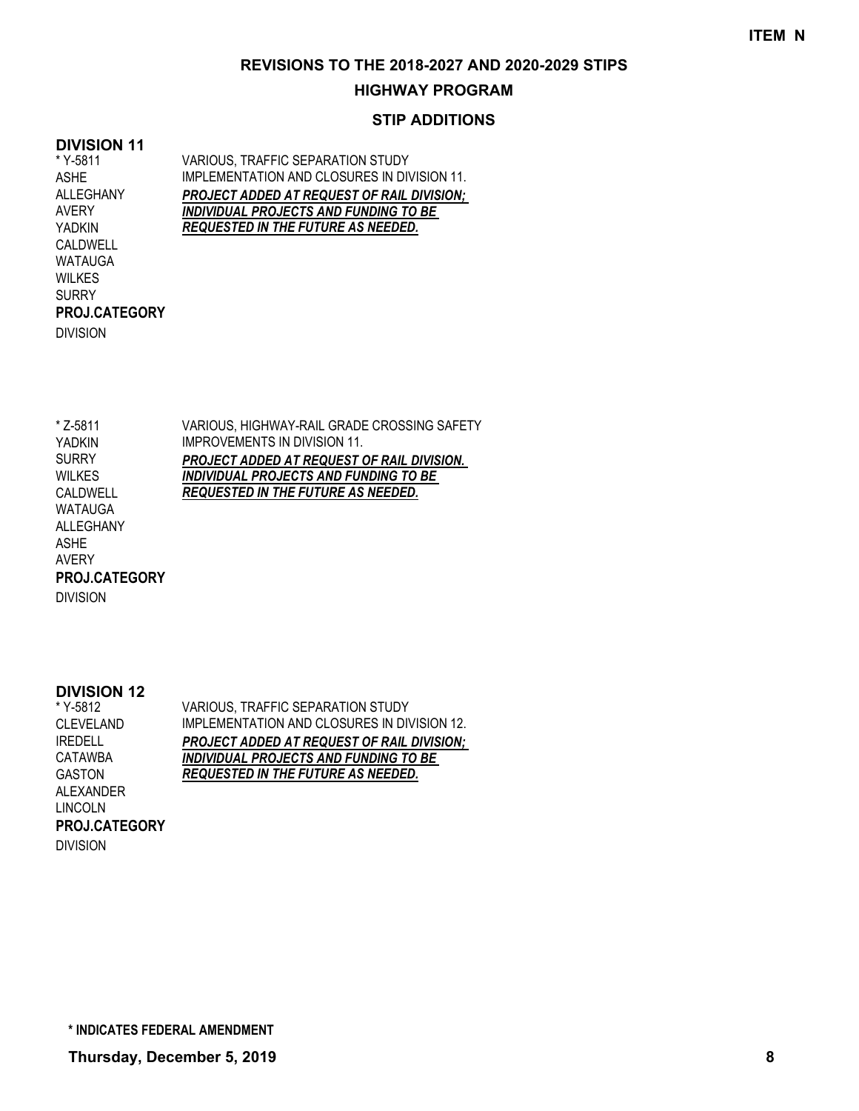## **HIGHWAY PROGRAM**

## **STIP ADDITIONS**

## **DIVISION 11**

WILKES **SURRY** 

DIVISION

**PROJ.CATEGORY**

VARIOUS, TRAFFIC SEPARATION STUDY IMPLEMENTATION AND CLOSURES IN DIVISION 11. *PROJECT ADDED AT REQUEST OF RAIL DIVISION; INDIVIDUAL PROJECTS AND FUNDING TO BE REQUESTED IN THE FUTURE AS NEEDED.* \* Y-5811 ASHE ALLEGHANY AVERY YADKIN CALDWELL WATAUGA

VARIOUS, HIGHWAY-RAIL GRADE CROSSING SAFETY IMPROVEMENTS IN DIVISION 11. *PROJECT ADDED AT REQUEST OF RAIL DIVISION. INDIVIDUAL PROJECTS AND FUNDING TO BE REQUESTED IN THE FUTURE AS NEEDED.* \* Z-5811 YADKIN SURRY WILKES CALDWELL WATAUGA ALLEGHANY ASHE AVERY DIVISION **PROJ.CATEGORY**

#### **DIVISION 12**

VARIOUS, TRAFFIC SEPARATION STUDY IMPLEMENTATION AND CLOSURES IN DIVISION 12. *PROJECT ADDED AT REQUEST OF RAIL DIVISION; INDIVIDUAL PROJECTS AND FUNDING TO BE REQUESTED IN THE FUTURE AS NEEDED.* \* Y-5812 CLEVELAND IREDELL CATAWBA GASTON ALEXANDER LINCOLN DIVISION **PROJ.CATEGORY**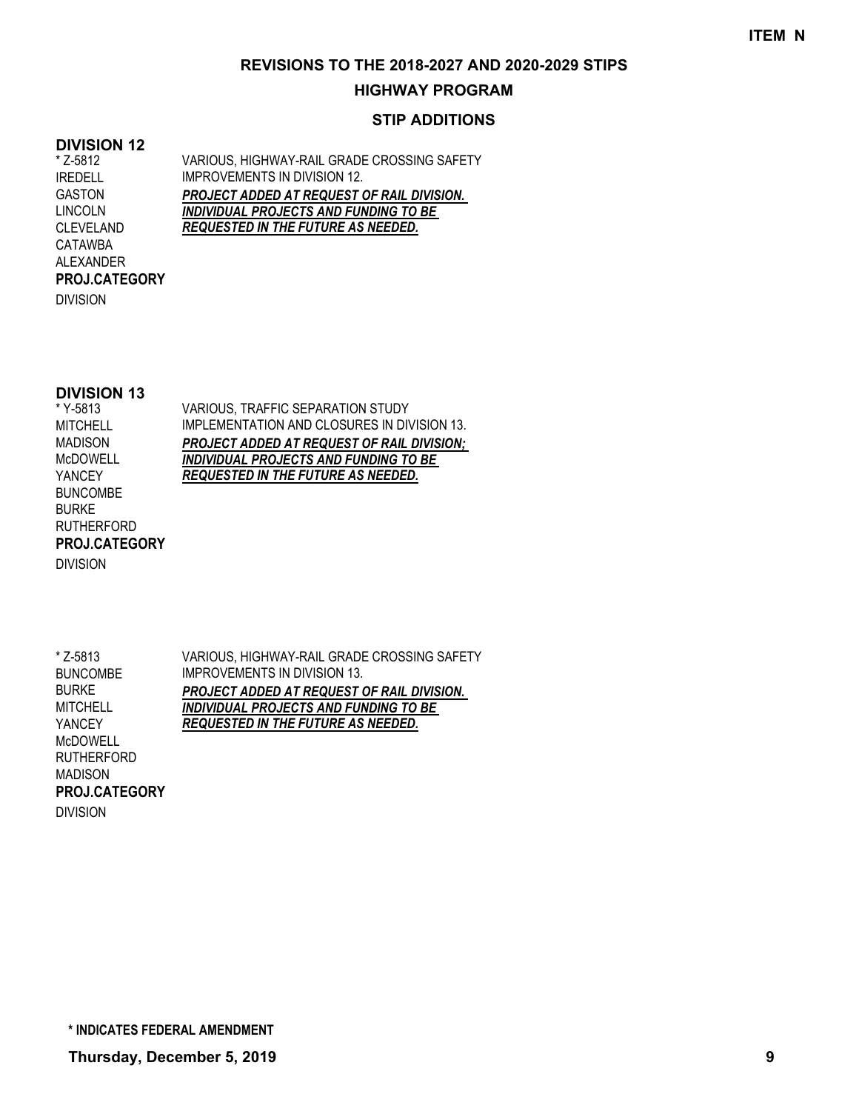## **HIGHWAY PROGRAM**

## **STIP ADDITIONS**

#### **DIVISION 12**

VARIOUS, HIGHWAY-RAIL GRADE CROSSING SAFETY IMPROVEMENTS IN DIVISION 12. *PROJECT ADDED AT REQUEST OF RAIL DIVISION. INDIVIDUAL PROJECTS AND FUNDING TO BE REQUESTED IN THE FUTURE AS NEEDED.* \* Z-5812 IREDELL GASTON LINCOLN CLEVELAND CATAWBA ALEXANDER

DIVISION

**PROJ.CATEGORY**

### **DIVISION 13**

\* Y-5813 **MITCHELL** MADISON McDOWELL YANCEY BUNCOMBE BURKE RUTHERFORD DIVISION **PROJ.CATEGORY** VARIOUS, TRAFFIC SEPARATION STUDY IMPLEMENTATION AND CLOSURES IN DIVISION 13. *PROJECT ADDED AT REQUEST OF RAIL DIVISION; INDIVIDUAL PROJECTS AND FUNDING TO BE REQUESTED IN THE FUTURE AS NEEDED.*

\* Z-5813 BUNCOMBE BURKE **MITCHELL** YANCEY McDOWELL RUTHERFORD MADISON DIVISION **PROJ.CATEGORY**

VARIOUS, HIGHWAY-RAIL GRADE CROSSING SAFETY IMPROVEMENTS IN DIVISION 13. *PROJECT ADDED AT REQUEST OF RAIL DIVISION. INDIVIDUAL PROJECTS AND FUNDING TO BE REQUESTED IN THE FUTURE AS NEEDED.*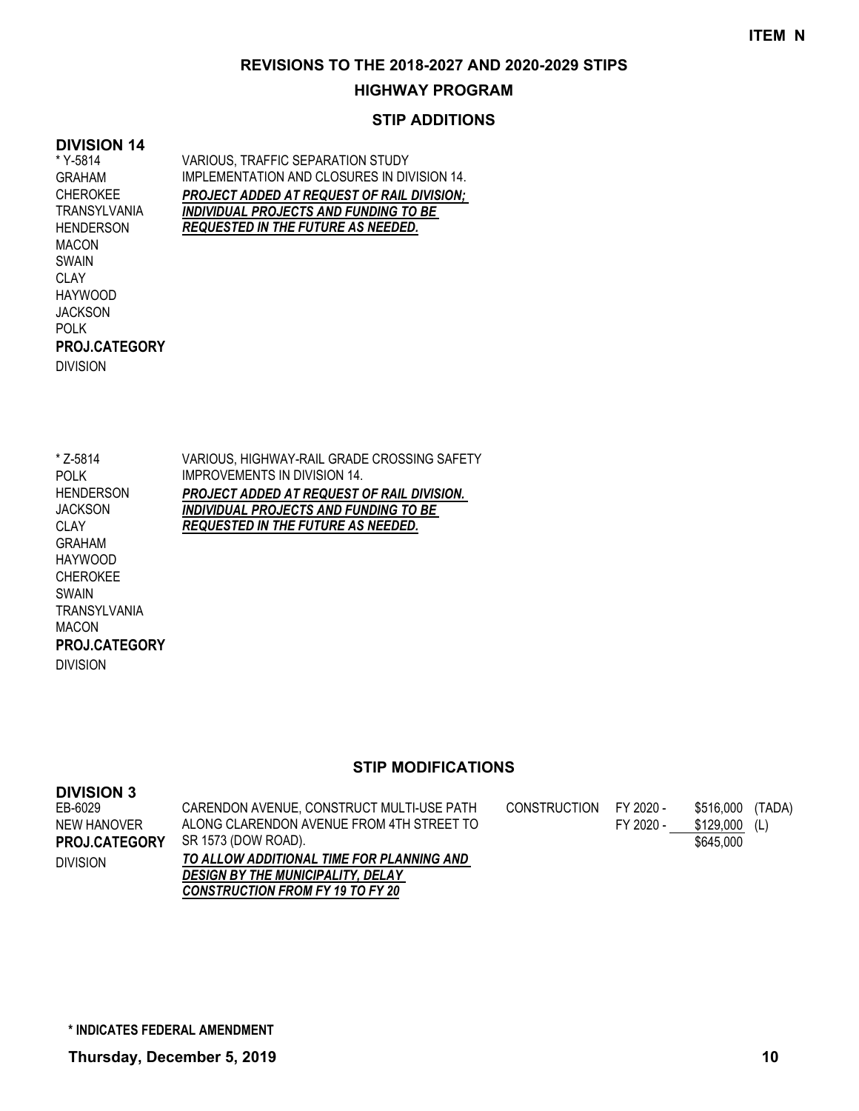## **HIGHWAY PROGRAM**

## **STIP ADDITIONS**

## **DIVISION 14**

\* Y-5814 GRAHAM CHEROKEE TRANSYLVANIA **HENDERSON** MACON SWAIN **CLAY** HAYWOOD JACKSON POLK DIVISION **PROJ.CATEGORY** VARIOUS, TRAFFIC SEPARATION STUDY IMPLEMENTATION AND CLOSURES IN DIVISION 14. *PROJECT ADDED AT REQUEST OF RAIL DIVISION; INDIVIDUAL PROJECTS AND FUNDING TO BE REQUESTED IN THE FUTURE AS NEEDED.*

\* Z-5814 POLK **HENDERSON JACKSON** CLAY GRAHAM HAYWOOD CHEROKEE SWAIN TRANSYLVANIA MACON DIVISION **PROJ.CATEGORY** VARIOUS, HIGHWAY-RAIL GRADE CROSSING SAFETY IMPROVEMENTS IN DIVISION 14. *PROJECT ADDED AT REQUEST OF RAIL DIVISION. INDIVIDUAL PROJECTS AND FUNDING TO BE REQUESTED IN THE FUTURE AS NEEDED.*

| <b>DIVISION 3</b> |                                           |              |           |           |        |
|-------------------|-------------------------------------------|--------------|-----------|-----------|--------|
| EB-6029           | CARENDON AVENUE, CONSTRUCT MULTI-USE PATH | CONSTRUCTION | FY 2020 - | \$516.000 | (TADA) |
| NEW HANOVER       | ALONG CLARENDON AVENUE FROM 4TH STREET TO |              | FY 2020 - | \$129.000 | (L)    |
| PROJ.CATEGORY     | SR 1573 (DOW ROAD).                       |              |           | \$645,000 |        |
| <b>DIVISION</b>   | TO ALLOW ADDITIONAL TIME FOR PLANNING AND |              |           |           |        |
|                   | <b>DESIGN BY THE MUNICIPALITY, DELAY</b>  |              |           |           |        |
|                   | <b>CONSTRUCTION FROM FY 19 TO FY 20</b>   |              |           |           |        |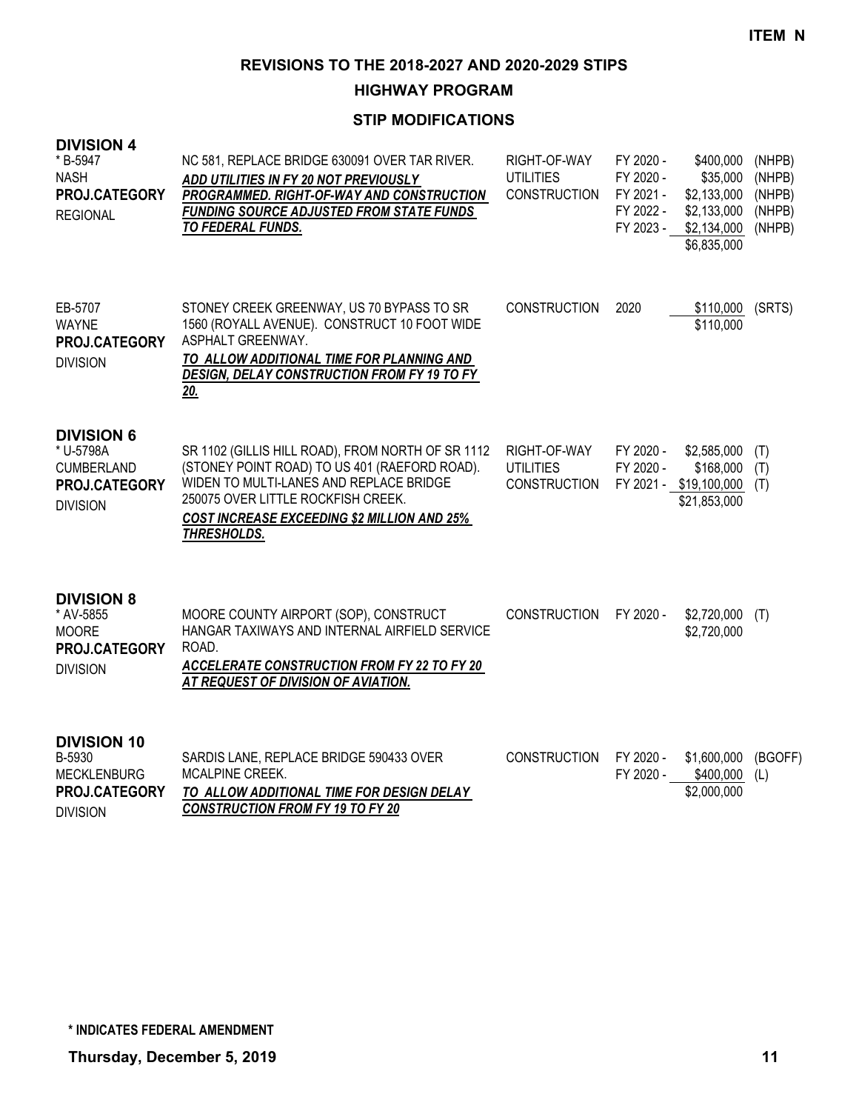## **HIGHWAY PROGRAM**

| <b>DIVISION 4</b><br>* B-5947<br><b>NASH</b><br>PROJ.CATEGORY<br><b>REGIONAL</b>        | NC 581, REPLACE BRIDGE 630091 OVER TAR RIVER.<br>ADD UTILITIES IN FY 20 NOT PREVIOUSLY<br>PROGRAMMED. RIGHT-OF-WAY AND CONSTRUCTION<br><b>FUNDING SOURCE ADJUSTED FROM STATE FUNDS</b><br>TO FEDERAL FUNDS.                                              | RIGHT-OF-WAY<br><b>UTILITIES</b><br><b>CONSTRUCTION</b> | FY 2020 -<br>FY 2020 -<br>FY 2021 -<br>FY 2022 -<br>FY 2023 - | \$400,000<br>\$35,000<br>\$2,133,000<br>\$2,133,000<br>\$2,134,000<br>\$6,835,000 | (NHPB)<br>(NHPB)<br>(NHPB)<br>(NHPB)<br>(NHPB) |
|-----------------------------------------------------------------------------------------|----------------------------------------------------------------------------------------------------------------------------------------------------------------------------------------------------------------------------------------------------------|---------------------------------------------------------|---------------------------------------------------------------|-----------------------------------------------------------------------------------|------------------------------------------------|
| EB-5707<br><b>WAYNE</b><br>PROJ.CATEGORY<br><b>DIVISION</b>                             | STONEY CREEK GREENWAY, US 70 BYPASS TO SR<br>1560 (ROYALL AVENUE). CONSTRUCT 10 FOOT WIDE<br>ASPHALT GREENWAY.<br>TO ALLOW ADDITIONAL TIME FOR PLANNING AND<br>DESIGN, DELAY CONSTRUCTION FROM FY 19 TO FY<br>20.                                        | <b>CONSTRUCTION</b>                                     | 2020                                                          | \$110,000<br>\$110,000                                                            | (SRTS)                                         |
| <b>DIVISION 6</b><br>* U-5798A<br><b>CUMBERLAND</b><br>PROJ.CATEGORY<br><b>DIVISION</b> | SR 1102 (GILLIS HILL ROAD), FROM NORTH OF SR 1112<br>(STONEY POINT ROAD) TO US 401 (RAEFORD ROAD).<br>WIDEN TO MULTI-LANES AND REPLACE BRIDGE<br>250075 OVER LITTLE ROCKFISH CREEK.<br><b>COST INCREASE EXCEEDING \$2 MILLION AND 25%</b><br>THRESHOLDS. | RIGHT-OF-WAY<br><b>UTILITIES</b><br><b>CONSTRUCTION</b> | FY 2020 -<br>FY 2020 -                                        | \$2,585,000<br>\$168,000<br>FY 2021 - \$19,100,000<br>\$21,853,000                | (T)<br>(T)<br>(T)                              |
| <b>DIVISION 8</b><br>* AV-5855<br><b>MOORE</b><br>PROJ.CATEGORY<br><b>DIVISION</b>      | MOORE COUNTY AIRPORT (SOP), CONSTRUCT<br>HANGAR TAXIWAYS AND INTERNAL AIRFIELD SERVICE<br>ROAD.<br><b>ACCELERATE CONSTRUCTION FROM FY 22 TO FY 20</b><br>AT REQUEST OF DIVISION OF AVIATION.                                                             | <b>CONSTRUCTION</b>                                     | FY 2020 -                                                     | \$2,720,000<br>\$2,720,000                                                        | (T)                                            |
| <b>DIVISION 10</b><br>B-5930<br><b>MECKLENBURG</b><br>PROJ.CATEGORY<br><b>DIVISION</b>  | SARDIS LANE, REPLACE BRIDGE 590433 OVER<br>MCALPINE CREEK.<br>TO ALLOW ADDITIONAL TIME FOR DESIGN DELAY<br><b>CONSTRUCTION FROM FY 19 TO FY 20</b>                                                                                                       | <b>CONSTRUCTION</b>                                     | FY 2020 -<br>FY 2020 -                                        | \$1,600,000<br>\$400,000<br>\$2,000,000                                           | (BGOFF)<br>(L)                                 |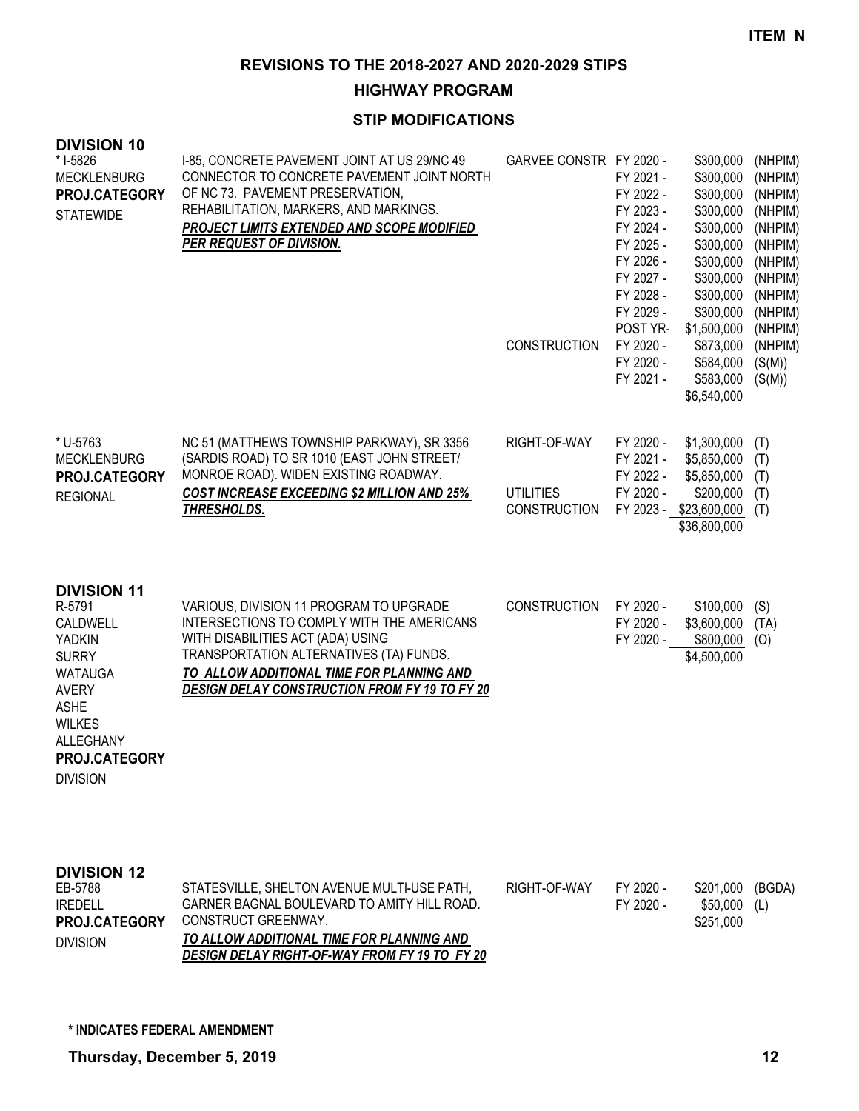## **HIGHWAY PROGRAM**

| <b>DIVISION 10</b><br>* I-5826<br><b>MECKLENBURG</b><br>PROJ.CATEGORY<br><b>STATEWIDE</b>                                                                                             | I-85, CONCRETE PAVEMENT JOINT AT US 29/NC 49<br>CONNECTOR TO CONCRETE PAVEMENT JOINT NORTH<br>OF NC 73. PAVEMENT PRESERVATION,<br>REHABILITATION, MARKERS, AND MARKINGS.<br>PROJECT LIMITS EXTENDED AND SCOPE MODIFIED<br>PER REQUEST OF DIVISION.                         | GARVEE CONSTR FY 2020 -<br><b>CONSTRUCTION</b>          | FY 2021 -<br>FY 2022 -<br>FY 2023 -<br>FY 2024 -<br>FY 2025 -<br>FY 2026 -<br>FY 2027 -<br>FY 2028 -<br>FY 2029 -<br>POST YR-<br>FY 2020 -<br>FY 2020 -<br>FY 2021 - | \$300,000<br>\$300,000<br>\$300,000<br>\$300,000<br>\$300,000<br>\$300,000<br>\$300,000<br>\$300,000<br>\$300,000<br>\$300,000<br>\$1,500,000<br>\$873,000<br>\$584,000<br>\$583,000<br>\$6,540,000 | (NHPIM)<br>(NHPIM)<br>(NHPIM)<br>(NHPIM)<br>(NHPIM)<br>(NHPIM)<br>(NHPIM)<br>(NHPIM)<br>(NHPIM)<br>(NHPIM)<br>(NHPIM)<br>(NHPIM)<br>(S(M))<br>(S(M)) |
|---------------------------------------------------------------------------------------------------------------------------------------------------------------------------------------|----------------------------------------------------------------------------------------------------------------------------------------------------------------------------------------------------------------------------------------------------------------------------|---------------------------------------------------------|----------------------------------------------------------------------------------------------------------------------------------------------------------------------|-----------------------------------------------------------------------------------------------------------------------------------------------------------------------------------------------------|------------------------------------------------------------------------------------------------------------------------------------------------------|
| * U-5763<br><b>MECKLENBURG</b><br>PROJ.CATEGORY<br><b>REGIONAL</b>                                                                                                                    | NC 51 (MATTHEWS TOWNSHIP PARKWAY), SR 3356<br>(SARDIS ROAD) TO SR 1010 (EAST JOHN STREET/<br>MONROE ROAD). WIDEN EXISTING ROADWAY.<br><b>COST INCREASE EXCEEDING \$2 MILLION AND 25%</b><br>THRESHOLDS.                                                                    | RIGHT-OF-WAY<br><b>UTILITIES</b><br><b>CONSTRUCTION</b> | FY 2020 -<br>FY 2021 -<br>FY 2022 -<br>FY 2020 -                                                                                                                     | \$1,300,000<br>\$5,850,000<br>\$5,850,000<br>\$200,000<br>FY 2023 - \$23,600,000<br>\$36,800,000                                                                                                    | (T)<br>(T)<br>(T)<br>(T)<br>(T)                                                                                                                      |
| <b>DIVISION 11</b><br>R-5791<br>CALDWELL<br>YADKIN<br><b>SURRY</b><br><b>WATAUGA</b><br><b>AVERY</b><br><b>ASHE</b><br><b>WILKES</b><br>ALLEGHANY<br>PROJ.CATEGORY<br><b>DIVISION</b> | VARIOUS, DIVISION 11 PROGRAM TO UPGRADE<br>INTERSECTIONS TO COMPLY WITH THE AMERICANS<br>WITH DISABILITIES ACT (ADA) USING<br>TRANSPORTATION ALTERNATIVES (TA) FUNDS.<br>TO ALLOW ADDITIONAL TIME FOR PLANNING AND<br><b>DESIGN DELAY CONSTRUCTION FROM FY 19 TO FY 20</b> | <b>CONSTRUCTION</b>                                     | FY 2020 -<br>FY 2020 -<br>FY 2020 -                                                                                                                                  | \$100,000<br>\$3,600,000<br>\$800,000<br>\$4,500,000                                                                                                                                                | (S)<br>(TA)<br>(O)                                                                                                                                   |
| <b>DIVISION 12</b><br>EB-5788<br><b>IREDELL</b><br>PROJ.CATEGORY<br><b>DIVISION</b>                                                                                                   | STATESVILLE, SHELTON AVENUE MULTI-USE PATH,<br>GARNER BAGNAL BOULEVARD TO AMITY HILL ROAD.<br>CONSTRUCT GREENWAY.<br>TO ALLOW ADDITIONAL TIME FOR PLANNING AND<br>DESIGN DELAY RIGHT-OF-WAY FROM FY 19 TO FY 20                                                            | RIGHT-OF-WAY                                            | FY 2020 -<br>FY 2020 -                                                                                                                                               | \$201,000<br>\$50,000<br>\$251,000                                                                                                                                                                  | (BGDA)<br>(L)                                                                                                                                        |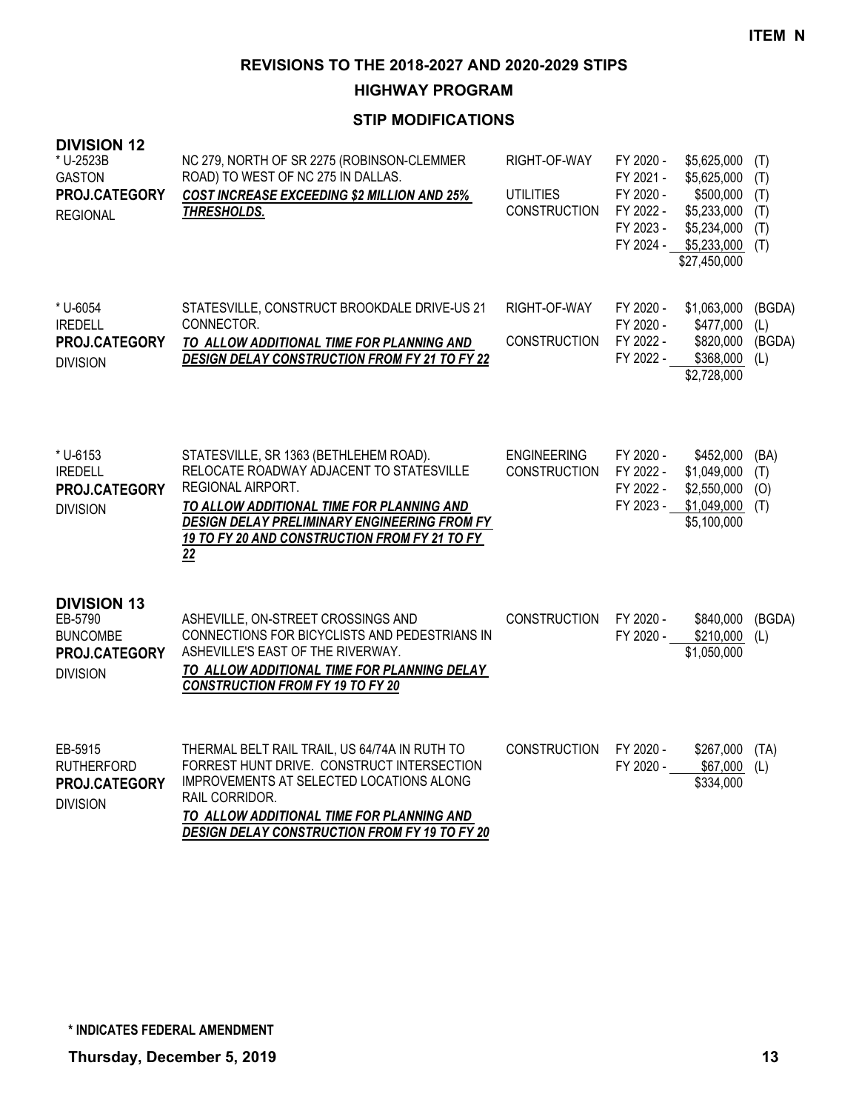## **HIGHWAY PROGRAM**

| <b>DIVISION 12</b><br>* U-2523B<br><b>GASTON</b><br>PROJ.CATEGORY<br><b>REGIONAL</b> | NC 279, NORTH OF SR 2275 (ROBINSON-CLEMMER<br>ROAD) TO WEST OF NC 275 IN DALLAS.<br><b>COST INCREASE EXCEEDING \$2 MILLION AND 25%</b><br><b>THRESHOLDS.</b>                                                                                                       | RIGHT-OF-WAY<br><b>UTILITIES</b><br><b>CONSTRUCTION</b> | FY 2020 -<br>FY 2021 -<br>FY 2020 -<br>FY 2022 -<br>FY 2023 -<br>FY 2024 - | \$5,625,000<br>\$5,625,000<br>\$500,000<br>\$5,233,000<br>\$5,234,000<br>\$5,233,000<br>\$27,450,000 | (T)<br>(T)<br>(T)<br>(T)<br>(T)<br>(T) |
|--------------------------------------------------------------------------------------|--------------------------------------------------------------------------------------------------------------------------------------------------------------------------------------------------------------------------------------------------------------------|---------------------------------------------------------|----------------------------------------------------------------------------|------------------------------------------------------------------------------------------------------|----------------------------------------|
| * U-6054<br><b>IREDELL</b><br>PROJ.CATEGORY<br><b>DIVISION</b>                       | STATESVILLE, CONSTRUCT BROOKDALE DRIVE-US 21<br>CONNECTOR.<br>TO ALLOW ADDITIONAL TIME FOR PLANNING AND<br><b>DESIGN DELAY CONSTRUCTION FROM FY 21 TO FY 22</b>                                                                                                    | RIGHT-OF-WAY<br><b>CONSTRUCTION</b>                     | FY 2020 -<br>FY 2020 -<br>FY 2022 -<br>FY 2022 -                           | \$1,063,000<br>\$477,000<br>\$820,000<br>\$368,000<br>\$2,728,000                                    | (BGDA)<br>(L)<br>(BGDA)<br>(L)         |
| * U-6153<br><b>IREDELL</b><br>PROJ.CATEGORY<br><b>DIVISION</b>                       | STATESVILLE, SR 1363 (BETHLEHEM ROAD).<br>RELOCATE ROADWAY ADJACENT TO STATESVILLE<br>REGIONAL AIRPORT.<br>TO ALLOW ADDITIONAL TIME FOR PLANNING AND<br><b>DESIGN DELAY PRELIMINARY ENGINEERING FROM FY</b><br>19 TO FY 20 AND CONSTRUCTION FROM FY 21 TO FY<br>22 | <b>ENGINEERING</b><br><b>CONSTRUCTION</b>               | FY 2020 -<br>FY 2022 -<br>FY 2022 -<br>FY 2023 -                           | \$452,000<br>\$1,049,000<br>\$2,550,000<br>$$1,049,000$ (T)<br>\$5,100,000                           | (BA)<br>(T)<br>(O)                     |
| <b>DIVISION 13</b><br>EB-5790<br><b>BUNCOMBE</b><br>PROJ.CATEGORY<br><b>DIVISION</b> | ASHEVILLE, ON-STREET CROSSINGS AND<br>CONNECTIONS FOR BICYCLISTS AND PEDESTRIANS IN<br>ASHEVILLE'S EAST OF THE RIVERWAY.<br>TO ALLOW ADDITIONAL TIME FOR PLANNING DELAY<br><b>CONSTRUCTION FROM FY 19 TO FY 20</b>                                                 | <b>CONSTRUCTION</b>                                     | FY 2020 -<br>FY 2020 -                                                     | \$840,000<br>\$210,000<br>\$1,050,000                                                                | (BGDA)<br>(L)                          |
| EB-5915<br><b>RUTHERFORD</b><br>PROJ.CATEGORY<br><b>DIVISION</b>                     | THERMAL BELT RAIL TRAIL, US 64/74A IN RUTH TO<br>FORREST HUNT DRIVE. CONSTRUCT INTERSECTION<br>IMPROVEMENTS AT SELECTED LOCATIONS ALONG<br>RAIL CORRIDOR.<br>TO ALLOW ADDITIONAL TIME FOR PLANNING AND<br><b>DESIGN DELAY CONSTRUCTION FROM FY 19 TO FY 20</b>     | <b>CONSTRUCTION</b>                                     | FY 2020 -<br>FY 2020 -                                                     | \$267,000<br>\$67,000<br>\$334,000                                                                   | (TA)<br>(L)                            |